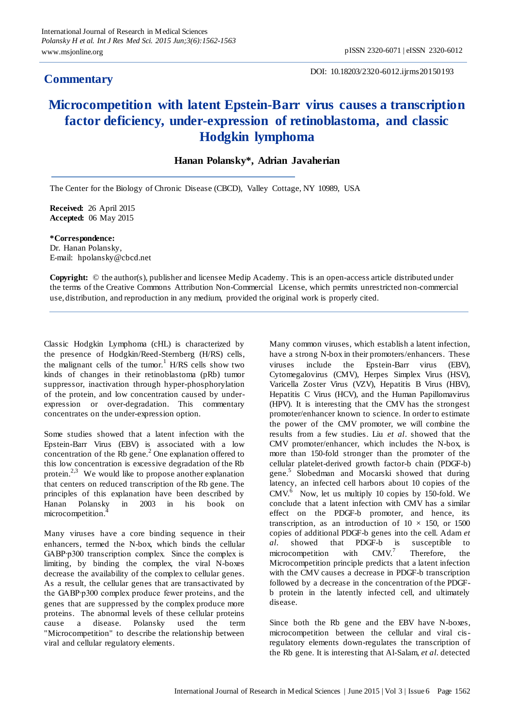## **Commentary**

DOI: 10.18203/2320-6012.ijrms20150193

## **Microcompetition with latent Epstein-Barr virus causes a transcription factor deficiency, under-expression of retinoblastoma, and classic Hodgkin lymphoma**

## **Hanan Polansky\*, Adrian Javaherian**

The Center for the Biology of Chronic Disease (CBCD), Valley Cottage, NY 10989, USA

**Received:** 26 April 2015 **Accepted:** 06 May 2015

**\*Correspondence:** Dr. Hanan Polansky, E-mail: hpolansky@cbcd.net

**Copyright:** © the author(s), publisher and licensee Medip Academy. This is an open-access article distributed under the terms of the Creative Commons Attribution Non-Commercial License, which permits unrestricted non-commercial use, distribution, and reproduction in any medium, provided the original work is properly cited.

Classic Hodgkin Lymphoma (cHL) is characterized by the presence of Hodgkin/Reed-Sternberg (H/RS) cells, the malignant cells of the tumor.<sup>1</sup> H/RS cells show two kinds of changes in their retinoblastoma (pRb) tumor suppressor, inactivation through hyper-phosphorylation of the protein, and low concentration caused by underexpression or over-degradation. This commentary concentrates on the under-expression option.

Some studies showed that a latent infection with the Epstein-Barr Virus (EBV) is associated with a low concentration of the Rb gene.<sup>2</sup> One explanation offered to this low concentration is excessive degradation of the Rb protein.<sup>2,3</sup> We would like to propose another explanation that centers on reduced transcription of the Rb gene. The principles of this explanation have been described by Hanan Polansky in 2003 in his book on microcompetition.<sup>4</sup>

Many viruses have a core binding sequence in their enhancers, termed the N-box, which binds the cellular GABP∙p300 transcription complex. Since the complex is limiting, by binding the complex, the viral N-boxes decrease the availability of the complex to cellular genes. As a result, the cellular genes that are transactivated by the GABP∙p300 complex produce fewer proteins, and the genes that are suppressed by the complex produce more proteins. The abnormal levels of these cellular proteins cause a disease. Polansky used the term "Microcompetition" to describe the relationship between viral and cellular regulatory elements.

Many common viruses, which establish a latent infection, have a strong N-box in their promoters/enhancers. These viruses include the Epstein-Barr virus (EBV), Cytomegalovirus (CMV), Herpes Simplex Virus (HSV), Varicella Zoster Virus (VZV), Hepatitis B Virus (HBV), Hepatitis C Virus (HCV), and the Human Papillomavirus (HPV). It is interesting that the CMV has the strongest promoter/enhancer known to science. In order to estimate the power of the CMV promoter, we will combine the results from a few studies. Liu *et al*. showed that the CMV promoter/enhancer, which includes the N-box, is more than 150-fold stronger than the promoter of the cellular platelet-derived growth factor-b chain (PDGF-b) gene.<sup>5</sup> Slobedman and Mocarski showed that during latency, an infected cell harbors about 10 copies of the CMV.<sup>6</sup> Now, let us multiply 10 copies by 150-fold. We conclude that a latent infection with CMV has a similar effect on the PDGF-b promoter, and hence, its transcription, as an introduction of  $10 \times 150$ , or  $1500$ copies of additional PDGF-b genes into the cell. Adam *et al.* showed that PDGF-b is susceptible to microcompetition with  $CMV<sup>7</sup>$ Therefore, the Microcompetition principle predicts that a latent infection with the CMV causes a decrease in PDGF-b transcription followed by a decrease in the concentration of the PDGFb protein in the latently infected cell, and ultimately disease.

Since both the Rb gene and the EBV have N-boxes, microcompetition between the cellular and viral cisregulatory elements down-regulates the transcription of the Rb gene. It is interesting that Al-Salam, *et al.* detected